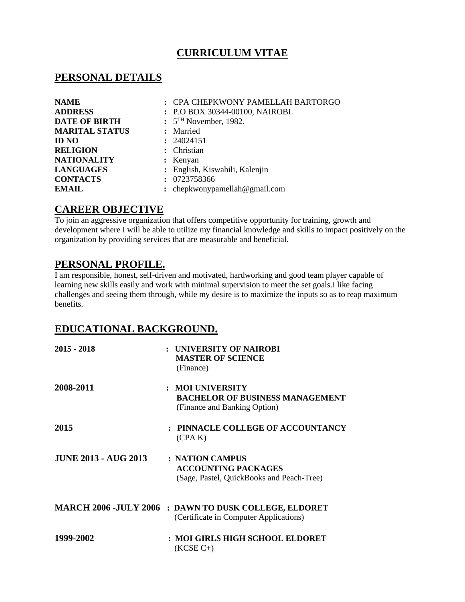# **CURRICULUM VITAE**

### **PERSONAL DETAILS**

| <b>NAME</b>           | : CPA CHEPKWONY PAMELLAH BARTORGO |
|-----------------------|-----------------------------------|
| <b>ADDRESS</b>        | : P.O BOX 30344-00100, NAIROBI.   |
| <b>DATE OF BIRTH</b>  | $: 5TH$ November, 1982.           |
| <b>MARITAL STATUS</b> | : Married                         |
| <b>ID NO</b>          | : 24024151                        |
| <b>RELIGION</b>       | : Christian                       |
| <b>NATIONALITY</b>    | : Kenyan                          |
| <b>LANGUAGES</b>      | : English, Kiswahili, Kalenjin    |
| <b>CONTACTS</b>       | : 0723758366                      |
| <b>EMAIL</b>          | : chepkwonypamellah@gmail.com     |

# **CAREER OBJECTIVE**

To join an aggressive organization that offers competitive opportunity for training, growth and development where I will be able to utilize my financial knowledge and skills to impact positively on the organization by providing services that are measurable and beneficial.

# **PERSONAL PROFILE.**

I am responsible, honest, self-driven and motivated, hardworking and good team player capable of learning new skills easily and work with minimal supervision to meet the set goals.I like facing challenges and seeing them through, while my desire is to maximize the inputs so as to reap maximum benefits.

# **EDUCATIONAL BACKGROUND.**

| 2015 - 2018                 | : UNIVERSITY OF NAIROBI<br><b>MASTER OF SCIENCE</b><br>(Finance)                                       |
|-----------------------------|--------------------------------------------------------------------------------------------------------|
| 2008-2011                   | : MOI UNIVERSITY<br><b>BACHELOR OF BUSINESS MANAGEMENT</b><br>(Finance and Banking Option)             |
| <b>2015</b>                 | : PINNACLE COLLEGE OF ACCOUNTANCY<br>(CPA K)                                                           |
| <b>JUNE 2013 - AUG 2013</b> | : NATION CAMPUS<br><b>ACCOUNTING PACKAGES</b><br>(Sage, Pastel, QuickBooks and Peach-Tree)             |
|                             | <b>MARCH 2006 -JULY 2006 : DAWN TO DUSK COLLEGE, ELDORET</b><br>(Certificate in Computer Applications) |
| 1999-2002                   | : MOI GIRLS HIGH SCHOOL ELDORET<br>$(KCSE C+)$                                                         |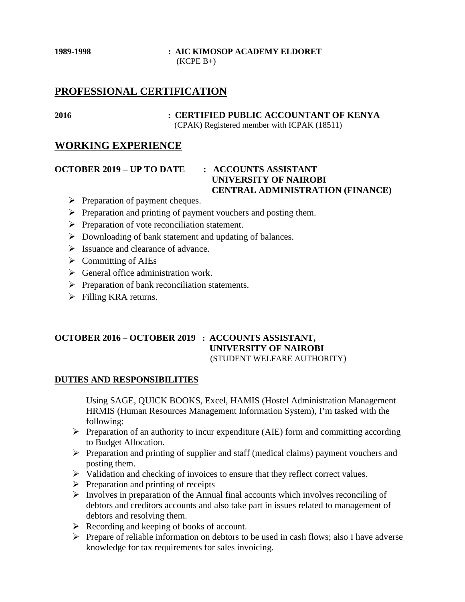### **1989-1998 : AIC KIMOSOP ACADEMY ELDORET**  $(KCPE B+)$

# **PROFESSIONAL CERTIFICATION**

**2016 : CERTIFIED PUBLIC ACCOUNTANT OF KENYA** (CPAK) Registered member with ICPAK (18511)

### **WORKING EXPERIENCE**

**OCTOBER 2019 – UP TO DATE : ACCOUNTS ASSISTANT**

# **UNIVERSITY OF NAIROBI CENTRAL ADMINISTRATION (FINANCE)**

- $\triangleright$  Preparation of payment cheques.
- $\triangleright$  Preparation and printing of payment vouchers and posting them.
- $\triangleright$  Preparation of vote reconciliation statement.
- $\triangleright$  Downloading of bank statement and updating of balances.
- $\triangleright$  Issuance and clearance of advance.
- $\triangleright$  Committing of AIEs
- $\triangleright$  General office administration work.
- $\triangleright$  Preparation of bank reconciliation statements.
- $\triangleright$  Filling KRA returns.

### **OCTOBER 2016 – OCTOBER 2019 : ACCOUNTS ASSISTANT, UNIVERSITY OF NAIROBI** (STUDENT WELFARE AUTHORITY)

### **DUTIES AND RESPONSIBILITIES**

Using SAGE, QUICK BOOKS, Excel, HAMIS (Hostel Administration Management HRMIS (Human Resources Management Information System), I'm tasked with the following:

- $\triangleright$  Preparation of an authority to incur expenditure (AIE) form and committing according to Budget Allocation.
- $\triangleright$  Preparation and printing of supplier and staff (medical claims) payment vouchers and posting them.
- $\triangleright$  Validation and checking of invoices to ensure that they reflect correct values.
- $\triangleright$  Preparation and printing of receipts
- $\triangleright$  Involves in preparation of the Annual final accounts which involves reconciling of debtors and creditors accounts and also take part in issues related to management of debtors and resolving them.
- Recording and keeping of books of account.
- $\triangleright$  Prepare of reliable information on debtors to be used in cash flows; also I have adverse knowledge for tax requirements for sales invoicing.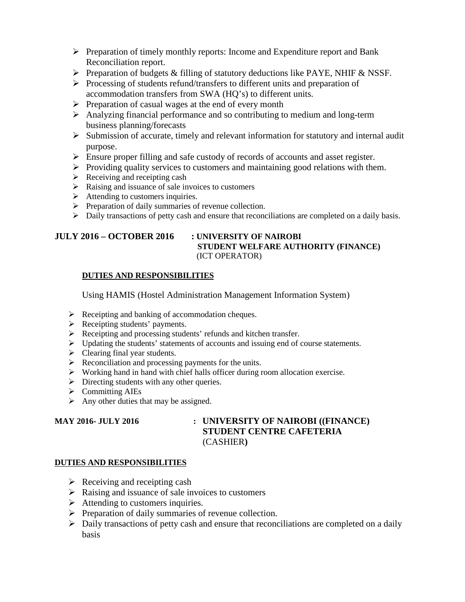- $\triangleright$  Preparation of timely monthly reports: Income and Expenditure report and Bank Reconciliation report.
- Preparation of budgets & filling of statutory deductions like PAYE, NHIF & NSSF.
- $\triangleright$  Processing of students refund/transfers to different units and preparation of accommodation transfers from SWA (HQ's) to different units.
- $\triangleright$  Preparation of casual wages at the end of every month
- $\triangleright$  Analyzing financial performance and so contributing to medium and long-term business planning/forecasts
- $\triangleright$  Submission of accurate, timely and relevant information for statutory and internal audit purpose.
- Ensure proper filling and safe custody of records of accounts and asset register.
- $\triangleright$  Providing quality services to customers and maintaining good relations with them.
- $\triangleright$  Receiving and receipting cash
- $\triangleright$  Raising and issuance of sale invoices to customers
- $\triangleright$  Attending to customers inquiries.
- $\triangleright$  Preparation of daily summaries of revenue collection.
- $\triangleright$  Daily transactions of petty cash and ensure that reconciliations are completed on a daily basis.

# **JULY 2016 – OCTOBER 2016 : UNIVERSITY OF NAIROBI**

# **STUDENT WELFARE AUTHORITY (FINANCE)** (ICT OPERATOR)

### **DUTIES AND RESPONSIBILITIES**

Using HAMIS (Hostel Administration Management Information System)

- $\triangleright$  Receipting and banking of accommodation cheques.
- Receipting students' payments.
- Receipting and processing students' refunds and kitchen transfer.
- $\triangleright$  Updating the students' statements of accounts and issuing end of course statements.
- $\triangleright$  Clearing final year students.
- $\triangleright$  Reconciliation and processing payments for the units.
- $\triangleright$  Working hand in hand with chief halls officer during room allocation exercise.
- $\triangleright$  Directing students with any other queries.
- $\triangleright$  Committing AIEs
- $\triangleright$  Any other duties that may be assigned.

### **MAY 2016- JULY 2016 : UNIVERSITY OF NAIROBI ((FINANCE) STUDENT CENTRE CAFETERIA** (CASHIER**)**

### **DUTIES AND RESPONSIBILITIES**

- $\triangleright$  Receiving and receipting cash
- $\triangleright$  Raising and issuance of sale invoices to customers
- $\triangleright$  Attending to customers inquiries.
- $\triangleright$  Preparation of daily summaries of revenue collection.
- $\triangleright$  Daily transactions of petty cash and ensure that reconciliations are completed on a daily basis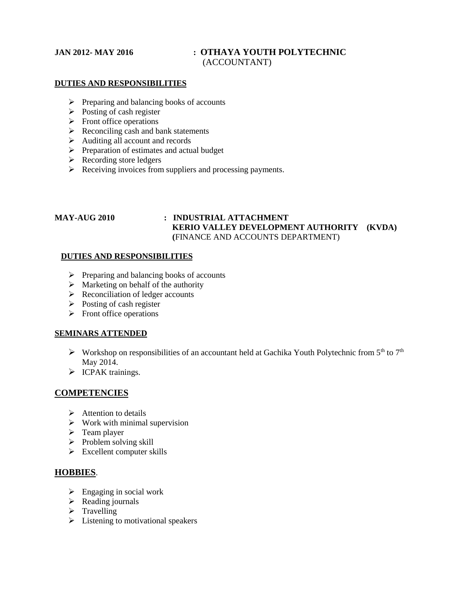### **JAN 2012- MAY 2016 : OTHAYA YOUTH POLYTECHNIC** (ACCOUNTANT)

### **DUTIES AND RESPONSIBILITIES**

- $\triangleright$  Preparing and balancing books of accounts
- $\triangleright$  Posting of cash register
- $\triangleright$  Front office operations
- $\triangleright$  Reconciling cash and bank statements
- Auditing all account and records
- $\triangleright$  Preparation of estimates and actual budget
- $\triangleright$  Recording store ledgers
- $\triangleright$  Receiving invoices from suppliers and processing payments.

### **MAY-AUG 2010 : INDUSTRIAL ATTACHMENT KERIO VALLEY DEVELOPMENT AUTHORITY (KVDA) (**FINANCE AND ACCOUNTS DEPARTMENT)

### **DUTIES AND RESPONSIBILITIES**

- $\triangleright$  Preparing and balancing books of accounts
- $\triangleright$  Marketing on behalf of the authority
- $\triangleright$  Reconciliation of ledger accounts
- $\triangleright$  Posting of cash register
- $\triangleright$  Front office operations

### **SEMINARS ATTENDED**

- $\triangleright$  Workshop on responsibilities of an accountant held at Gachika Youth Polytechnic from 5<sup>th</sup> to 7<sup>th</sup> May 2014.
- > ICPAK trainings.

### **COMPETENCIES**

- $\triangleright$  Attention to details
- $\triangleright$  Work with minimal supervision
- $\triangleright$  Team player
- $\triangleright$  Problem solving skill
- $\triangleright$  Excellent computer skills

### **HOBBIES**.

- $\triangleright$  Engaging in social work
- $\triangleright$  Reading journals
- $\triangleright$  Travelling
- $\triangleright$  Listening to motivational speakers